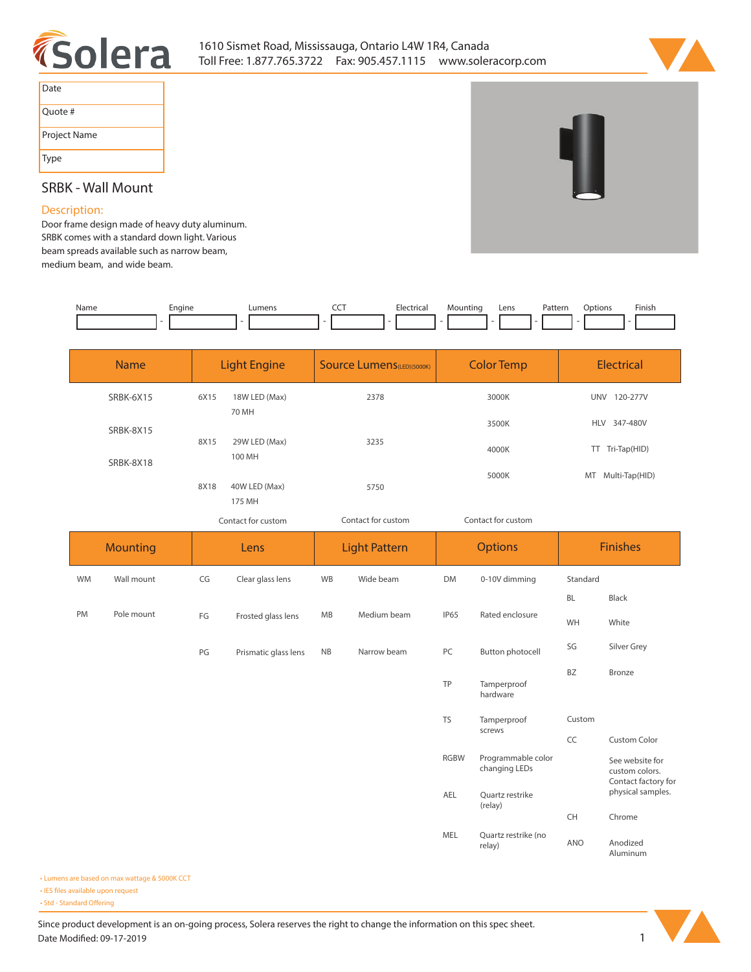



| Date         |
|--------------|
| Quote #      |
| Project Name |
| Type         |



# **SRBK - Wall Mount**

### **Description:**

**Door frame design made of heavy duty aluminum. SRBK comes with a standard down light. Various beam spreads available such as narrow beam, medium beam, and wide beam.** 

| Name | Engine | umens | <b>CONTRACTOR</b><br>$ -$ | . | Mountin | Lens | <sup>9</sup> atterr<br>. | otion<br>. | Finis <sub>l</sub> |
|------|--------|-------|---------------------------|---|---------|------|--------------------------|------------|--------------------|
|      |        |       |                           |   |         |      |                          |            |                    |

| <b>Name</b> | <b>Light Engine</b> |                         | <b>Source Lumens</b> (LED)(5000K) | <b>Color Temp</b> | <b>Electrical</b>      |  |
|-------------|---------------------|-------------------------|-----------------------------------|-------------------|------------------------|--|
| SRBK-6X15   | 6X15                | 18W LED (Max)<br>70 MH  | 2378                              | 3000K             | 120-277V<br><b>UNV</b> |  |
| SRBK-8X15   |                     |                         |                                   | 3500K             | <b>HLV</b><br>347-480V |  |
| SRBK-8X18   | 8X15                | 29W LED (Max)<br>100 MH | 3235                              | 4000K             | Tri-Tap(HID)<br>TT.    |  |
|             | 8X18                | 40W LED (Max)<br>175 MH | 5750                              | 5000K             | Multi-Tap(HID)<br>MT   |  |

*Contact for custom Contact for custom*

*Contact for custom*

|    | <b>Mounting</b> |    | Lens                 |           | <b>Light Pattern</b> |             | <b>Options</b>                      |           | <b>Finishes</b>                                          |  |
|----|-----------------|----|----------------------|-----------|----------------------|-------------|-------------------------------------|-----------|----------------------------------------------------------|--|
| WM | Wall mount      | CG | Clear glass lens     | WB        | Wide beam            | <b>DM</b>   | 0-10V dimming                       | Standard  |                                                          |  |
|    |                 |    |                      |           |                      |             |                                     | <b>BL</b> | Black                                                    |  |
| PM | Pole mount      | FG | Frosted glass lens   | <b>MB</b> | Medium beam          | <b>IP65</b> | Rated enclosure                     | WH        | White                                                    |  |
|    |                 | PG | Prismatic glass lens | <b>NB</b> | Narrow beam          | PC          | Button photocell                    | SG        | Silver Grey                                              |  |
|    |                 |    |                      |           |                      | TP          | Tamperproof<br>hardware             | <b>BZ</b> | <b>Bronze</b>                                            |  |
|    |                 |    |                      |           |                      | <b>TS</b>   | Tamperproof                         | Custom    |                                                          |  |
|    |                 |    |                      |           |                      |             | screws                              | CC        | Custom Color                                             |  |
|    |                 |    |                      |           |                      | <b>RGBW</b> | Programmable color<br>changing LEDs |           | See website for<br>custom colors.<br>Contact factory for |  |
|    |                 |    |                      |           |                      | AEL         | Ouartz restrike<br>(relay)          |           | physical samples.                                        |  |
|    |                 |    |                      |           |                      |             |                                     | CH        | Chrome                                                   |  |
|    |                 |    |                      |           |                      | MEL         | Quartz restrike (no<br>relay)       | ANO       | Anodized<br>Aluminum                                     |  |

**• Lumens are based on max wattage & 5000K CCT**

**• IES files available upon request** 

• Std - Standard Offering